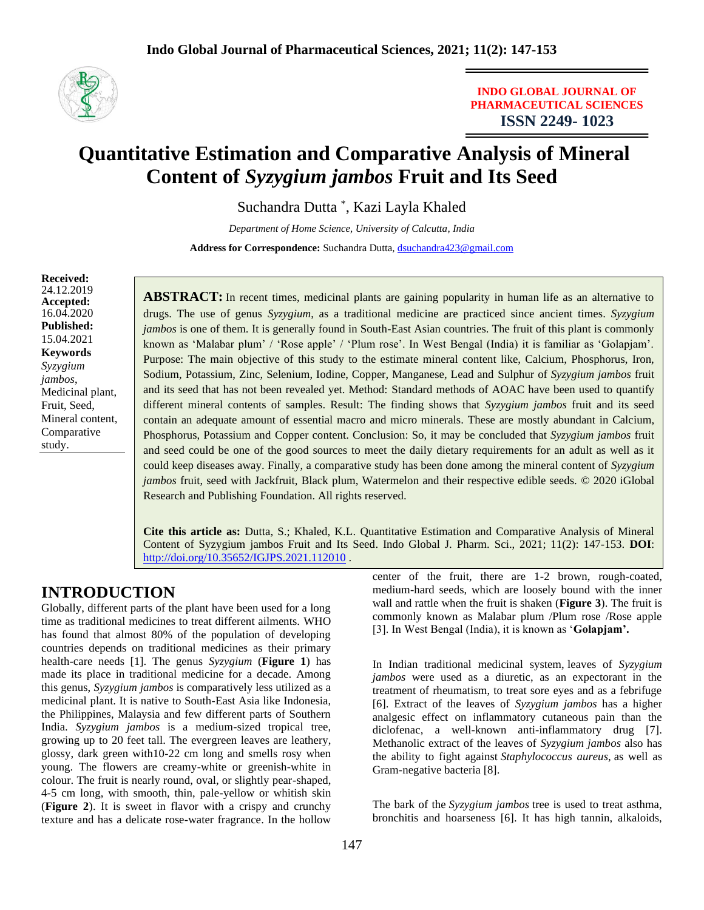

**INDO GLOBAL JOURNAL OF PHARMACEUTICAL SCIENCES ISSN 2249- 1023**

# **Quantitative Estimation and Comparative Analysis of Mineral Content of** *Syzygium jambos* **Fruit and Its Seed**

Suchandra Dutta \* , Kazi Layla Khaled

*Department of Home Science, University of Calcutta, India* Address for Correspondence: Suchandra Dutta, [dsuchandra423@gmail.com](mailto:dsuchandra423@gmail.com)

**Received:** 24.12.2019 **Accepted:**  16.04.2020 **Published:** 15.04.2021 **Keywords** *Syzygium jambos*, Medicinal plant, Fruit, Seed, Mineral content, Comparative study.

**ABSTRACT:** In recent times, medicinal plants are gaining popularity in human life as an alternative to drugs. The use of genus *Syzygium*, as a traditional medicine are practiced since ancient times. *Syzygium jambos* is one of them. It is generally found in South-East Asian countries. The fruit of this plant is commonly known as 'Malabar plum' / 'Rose apple' / 'Plum rose'. In West Bengal (India) it is familiar as 'Golapjam'. Purpose: The main objective of this study to the estimate mineral content like, Calcium, Phosphorus, Iron, Sodium, Potassium, Zinc, Selenium, Iodine, Copper, Manganese, Lead and Sulphur of *Syzygium jambos* fruit and its seed that has not been revealed yet. Method: Standard methods of AOAC have been used to quantify different mineral contents of samples. Result: The finding shows that *Syzygium jambos* fruit and its seed contain an adequate amount of essential macro and micro minerals. These are mostly abundant in Calcium, Phosphorus, Potassium and Copper content. Conclusion: So, it may be concluded that *Syzygium jambos* fruit and seed could be one of the good sources to meet the daily dietary requirements for an adult as well as it could keep diseases away. Finally, a comparative study has been done among the mineral content of *Syzygium jambos* fruit, seed with Jackfruit, Black plum, Watermelon and their respective edible seeds. © 2020 iGlobal Research and Publishing Foundation. All rights reserved.

**Cite this article as:** Dutta, S.; Khaled, K.L. Quantitative Estimation and Comparative Analysis of Mineral Content of Syzygium jambos Fruit and Its Seed. Indo Global J. Pharm. Sci., 2021; 11(2): 147-153. **DOI**: <http://doi.org/10.35652/IGJPS.2021.112010> .

# **INTRODUCTION**

Globally, different parts of the plant have been used for a long time as traditional medicines to treat different ailments. WHO has found that almost 80% of the population of developing countries depends on traditional medicines as their primary health-care needs [1]. The genus *Syzygium* (**Figure 1**) has made its place in traditional medicine for a decade. Among this genus, *Syzygium jambos* is comparatively less utilized as a medicinal plant. It is native to South-East Asia like Indonesia, the Philippines, Malaysia and few different parts of Southern India. *Syzygium jambos* is a medium-sized tropical tree, growing up to 20 feet tall. The evergreen leaves are leathery, glossy, dark green with10-22 cm long and smells rosy when young. The flowers are creamy-white or greenish-white in colour. The fruit is nearly round, oval, or slightly pear-shaped, 4-5 cm long, with smooth, thin, pale-yellow or whitish skin (**Figure 2**). It is sweet in flavor with a crispy and crunchy texture and has a delicate rose-water fragrance. In the hollow

center of the fruit, there are 1-2 brown, rough-coated, medium-hard seeds, which are loosely bound with the inner wall and rattle when the fruit is shaken (**Figure 3**). The fruit is commonly known as Malabar plum /Plum rose /Rose apple [3]. In West Bengal (India), it is known as '**Golapjam'.** 

In Indian traditional medicinal system, leaves of *Syzygium jambos* were used as a diuretic, as an expectorant in the treatment of rheumatism, to treat sore eyes and as a febrifuge [6]. Extract of the leaves of *Syzygium jambos* has a higher analgesic effect on inflammatory cutaneous pain than the diclofenac, a well-known anti-inflammatory drug [7]. Methanolic extract of the leaves of *Syzygium jambos* also has the ability to fight against *Staphylococcus aureus*, as well as Gram-negative bacteria [8].

The bark of the *Syzygium jambos* tree is used to treat asthma, bronchitis and hoarseness [6]. It has high tannin, alkaloids,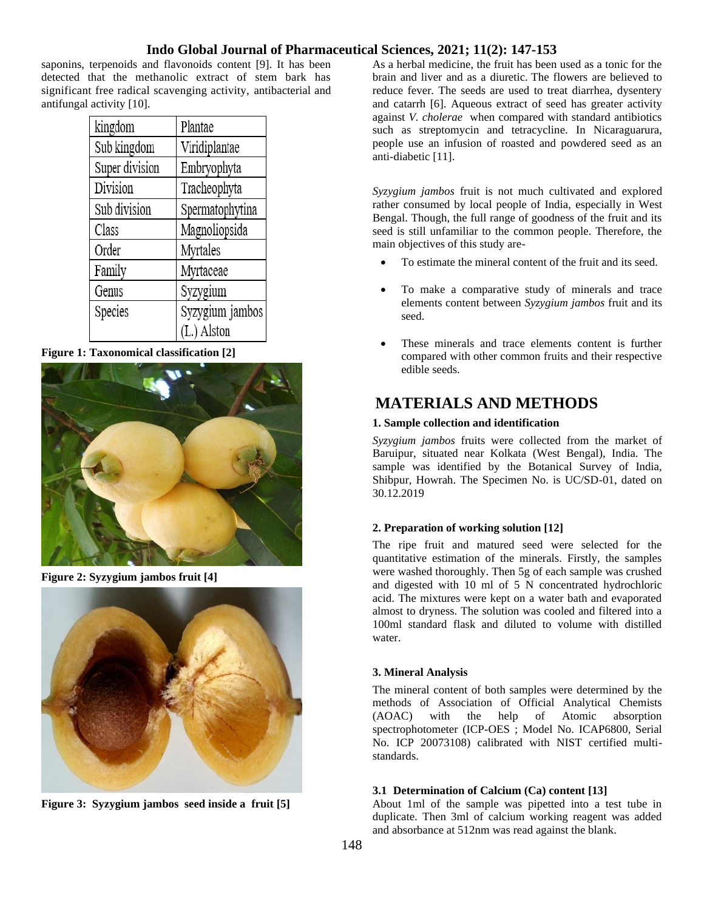saponins, terpenoids and flavonoids content [9]. It has been detected that the methanolic extract of stem bark has significant free radical scavenging activity, antibacterial and antifungal activity [10].

| kingdom        | Plantae         |
|----------------|-----------------|
| Sub kingdom    | Viridiplantae   |
| Super division | Embryophyta     |
| Division       | Tracheophyta    |
| Sub division   | Spermatophytina |
| Class          | Magnoliopsida   |
| Order          | Myrtales        |
| Family         | Myrtaceae       |
| Genus          | Syzygium        |
| Species        | Syzygium jambos |
|                | (L.) Alston     |

**Figure 1: Taxonomical classification [2]**



**Figure 2: Syzygium jambos fruit [4]**



**Figure 3: Syzygium jambos seed inside a fruit [5]**

As a herbal medicine, the fruit has been used as a tonic for the brain and liver and as a diuretic. The flowers are believed to reduce fever. The seeds are used to treat diarrhea, dysentery and catarrh [6]. Aqueous extract of seed has greater activity against *V. cholerae* when compared with standard antibiotics such as streptomycin and tetracycline. In Nicaraguarura, people use an infusion of roasted and powdered seed as an anti-diabetic [11].

*Syzygium jambos* fruit is not much cultivated and explored rather consumed by local people of India, especially in West Bengal. Though, the full range of goodness of the fruit and its seed is still unfamiliar to the common people. Therefore, the main objectives of this study are-

- To estimate the mineral content of the fruit and its seed.
- To make a comparative study of minerals and trace elements content between *Syzygium jambos* fruit and its seed.
- These minerals and trace elements content is further compared with other common fruits and their respective edible seeds.

# **MATERIALS AND METHODS**

### **1. Sample collection and identification**

*Syzygium jambos* fruits were collected from the market of Baruipur, situated near Kolkata (West Bengal), India. The sample was identified by the Botanical Survey of India, Shibpur, Howrah. The Specimen No. is UC/SD-01, dated on 30.12.2019

### **2. Preparation of working solution [12]**

The ripe fruit and matured seed were selected for the quantitative estimation of the minerals. Firstly, the samples were washed thoroughly. Then 5g of each sample was crushed and digested with 10 ml of 5 N concentrated hydrochloric acid. The mixtures were kept on a water bath and evaporated almost to dryness. The solution was cooled and filtered into a 100ml standard flask and diluted to volume with distilled water.

### **3. Mineral Analysis**

The mineral content of both samples were determined by the methods of Association of Official Analytical Chemists<br>(AOAC) with the help of Atomic absorption (AOAC) with the help of Atomic absorption spectrophotometer (ICP-OES ; Model No. ICAP6800, Serial No. ICP 20073108) calibrated with NIST certified multistandards.

### **3.1 Determination of Calcium (Ca) content [13]**

About 1ml of the sample was pipetted into a test tube in duplicate. Then 3ml of calcium working reagent was added and absorbance at 512nm was read against the blank.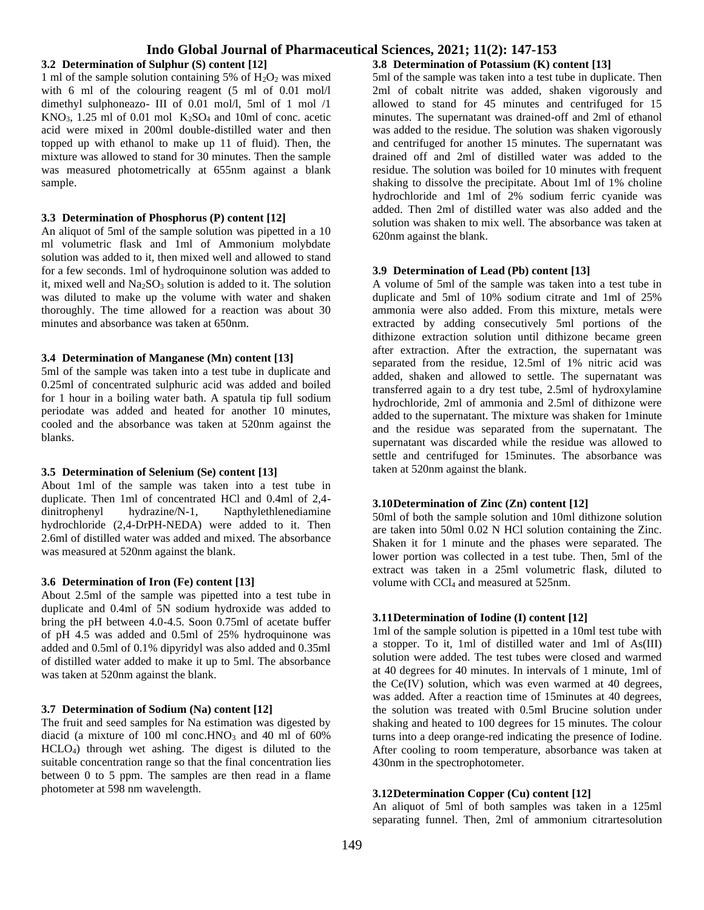#### **3.2 Determination of Sulphur (S) content [12]**

1 ml of the sample solution containing 5% of  $H_2O_2$  was mixed with 6 ml of the colouring reagent (5 ml of 0.01 mol/l) dimethyl sulphoneazo- III of 0.01 mol/l, 5ml of 1 mol /1  $KNO<sub>3</sub>$ , 1.25 ml of 0.01 mol  $K<sub>2</sub>SO<sub>4</sub>$  and 10ml of conc. acetic acid were mixed in 200ml double-distilled water and then topped up with ethanol to make up 11 of fluid). Then, the mixture was allowed to stand for 30 minutes. Then the sample was measured photometrically at 655nm against a blank sample.

#### **3.3 Determination of Phosphorus (P) content [12]**

An aliquot of 5ml of the sample solution was pipetted in a 10 ml volumetric flask and 1ml of Ammonium molybdate solution was added to it, then mixed well and allowed to stand for a few seconds. 1ml of hydroquinone solution was added to it, mixed well and  $Na<sub>2</sub>SO<sub>3</sub>$  solution is added to it. The solution was diluted to make up the volume with water and shaken thoroughly. The time allowed for a reaction was about 30 minutes and absorbance was taken at 650nm.

#### **3.4 Determination of Manganese (Mn) content [13]**

5ml of the sample was taken into a test tube in duplicate and 0.25ml of concentrated sulphuric acid was added and boiled for 1 hour in a boiling water bath. A spatula tip full sodium periodate was added and heated for another 10 minutes, cooled and the absorbance was taken at 520nm against the blanks.

#### **3.5 Determination of Selenium (Se) content [13]**

About 1ml of the sample was taken into a test tube in duplicate. Then 1ml of concentrated HCl and 0.4ml of 2,4 dinitrophenyl hydrazine/N-1, Napthylethlenediamine hydrochloride (2,4-DrPH-NEDA) were added to it. Then 2.6ml of distilled water was added and mixed. The absorbance was measured at 520nm against the blank.

#### **3.6 Determination of Iron (Fe) content [13]**

About 2.5ml of the sample was pipetted into a test tube in duplicate and 0.4ml of 5N sodium hydroxide was added to bring the pH between 4.0-4.5. Soon 0.75ml of acetate buffer of pH 4.5 was added and 0.5ml of 25% hydroquinone was added and 0.5ml of 0.1% dipyridyl was also added and 0.35ml of distilled water added to make it up to 5ml. The absorbance was taken at 520nm against the blank.

#### **3.7 Determination of Sodium (Na) content [12]**

The fruit and seed samples for Na estimation was digested by diacid (a mixture of 100 ml conc.HNO<sub>3</sub> and 40 ml of  $60\%$ HCLO4) through wet ashing. The digest is diluted to the suitable concentration range so that the final concentration lies between 0 to 5 ppm. The samples are then read in a flame photometer at 598 nm wavelength.

#### **3.8 Determination of Potassium (K) content [13]**

5ml of the sample was taken into a test tube in duplicate. Then 2ml of cobalt nitrite was added, shaken vigorously and allowed to stand for 45 minutes and centrifuged for 15 minutes. The supernatant was drained-off and 2ml of ethanol was added to the residue. The solution was shaken vigorously and centrifuged for another 15 minutes. The supernatant was drained off and 2ml of distilled water was added to the residue. The solution was boiled for 10 minutes with frequent shaking to dissolve the precipitate. About 1ml of 1% choline hydrochloride and 1ml of 2% sodium ferric cyanide was added. Then 2ml of distilled water was also added and the solution was shaken to mix well. The absorbance was taken at 620nm against the blank.

#### **3.9 Determination of Lead (Pb) content [13]**

A volume of 5ml of the sample was taken into a test tube in duplicate and 5ml of 10% sodium citrate and 1ml of 25% ammonia were also added. From this mixture, metals were extracted by adding consecutively 5ml portions of the dithizone extraction solution until dithizone became green after extraction. After the extraction, the supernatant was separated from the residue, 12.5ml of 1% nitric acid was added, shaken and allowed to settle. The supernatant was transferred again to a dry test tube, 2.5ml of hydroxylamine hydrochloride, 2ml of ammonia and 2.5ml of dithizone were added to the supernatant. The mixture was shaken for 1minute and the residue was separated from the supernatant. The supernatant was discarded while the residue was allowed to settle and centrifuged for 15minutes. The absorbance was taken at 520nm against the blank.

#### **3.10Determination of Zinc (Zn) content [12]**

50ml of both the sample solution and 10ml dithizone solution are taken into 50ml 0.02 N HCl solution containing the Zinc. Shaken it for 1 minute and the phases were separated. The lower portion was collected in a test tube. Then, 5ml of the extract was taken in a 25ml volumetric flask, diluted to volume with CCl<sub>4</sub> and measured at 525nm.

#### **3.11Determination of Iodine (I) content [12]**

1ml of the sample solution is pipetted in a 10ml test tube with a stopper. To it, 1ml of distilled water and 1ml of As(III) solution were added. The test tubes were closed and warmed at 40 degrees for 40 minutes. In intervals of 1 minute, 1ml of the Ce(IV) solution, which was even warmed at 40 degrees, was added. After a reaction time of 15minutes at 40 degrees, the solution was treated with 0.5ml Brucine solution under shaking and heated to 100 degrees for 15 minutes. The colour turns into a deep orange-red indicating the presence of Iodine. After cooling to room temperature, absorbance was taken at 430nm in the spectrophotometer.

#### **3.12Determination Copper (Cu) content [12]**

An aliquot of 5ml of both samples was taken in a 125ml separating funnel. Then, 2ml of ammonium citrartesolution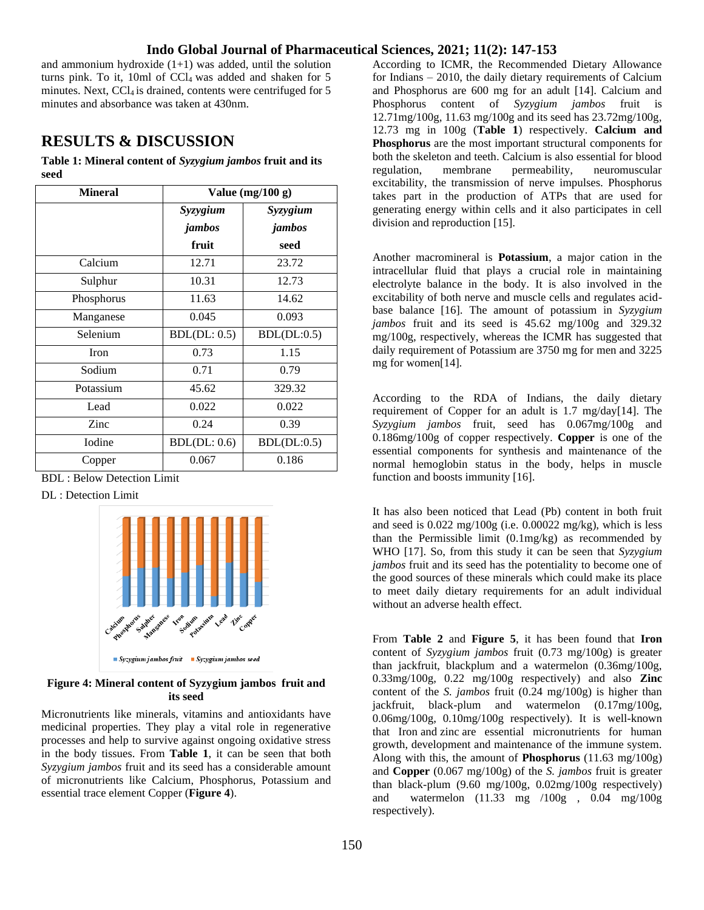and ammonium hydroxide  $(1+1)$  was added, until the solution turns pink. To it, 10ml of  $CCl<sub>4</sub>$  was added and shaken for 5 minutes. Next,  $CCl<sub>4</sub>$  is drained, contents were centrifuged for  $5$ minutes and absorbance was taken at 430nm.

# **RESULTS & DISCUSSION**

**Table 1: Mineral content of** *Syzygium jambos* **fruit and its seed**

| <b>Mineral</b> | Value $(mg/100 g)$ |                    |  |
|----------------|--------------------|--------------------|--|
|                | Syzygium<br>jambos | Syzygium<br>jambos |  |
|                | fruit              | seed               |  |
| Calcium        | 12.71              | 23.72              |  |
| Sulphur        | 10.31              | 12.73              |  |
| Phosphorus     | 11.63              | 14.62              |  |
| Manganese      | 0.045              | 0.093              |  |
| Selenium       | BDL(DL: 0.5)       | BDL(DL:0.5)        |  |
| <b>Iron</b>    | 0.73               | 1.15               |  |
| Sodium         | 0.71               | 0.79               |  |
| Potassium      | 45.62              | 329.32             |  |
| Lead           | 0.022              | 0.022              |  |
| Zinc           | 0.24               | 0.39               |  |
| <b>I</b> odine | BDL(DL: 0.6)       | BDL(DL:0.5)        |  |
| Copper         | 0.067              | 0.186              |  |

BDL : Below Detection Limit

DL : Detection Limit



**Figure 4: Mineral content of Syzygium jambos fruit and its seed**

Micronutrients like minerals, vitamins and antioxidants have medicinal properties. They play a vital role in regenerative processes and help to survive against ongoing oxidative stress in the body tissues. From **Table 1**, it can be seen that both *Syzygium jambos* fruit and its seed has a considerable amount of micronutrients like Calcium, Phosphorus, Potassium and essential trace element Copper (**Figure 4**).

According to ICMR, the Recommended Dietary Allowance for Indians – 2010, the daily dietary requirements of Calcium and Phosphorus are 600 mg for an adult [14]. Calcium and Phosphorus content of *Syzygium jambos* fruit is 12.71mg/100g, 11.63 mg/100g and its seed has 23.72mg/100g, 12.73 mg in 100g (**Table 1**) respectively. **Calcium and Phosphorus** are the most important structural components for both the skeleton and teeth. Calcium is also essential for blood regulation, membrane permeability, neuromuscular excitability, the transmission of nerve impulses. Phosphorus takes part in the production of ATPs that are used for generating energy within cells and it also participates in cell division and reproduction [15].

Another macromineral is **Potassium**, a major cation in the intracellular fluid that plays a crucial role in maintaining electrolyte balance in the body. It is also involved in the excitability of both nerve and muscle cells and regulates acidbase balance [16]. The amount of potassium in *Syzygium jambos* fruit and its seed is 45.62 mg/100g and 329.32 mg/100g, respectively, whereas the ICMR has suggested that daily requirement of Potassium are 3750 mg for men and 3225 mg for women[14].

According to the RDA of Indians, the daily dietary requirement of Copper for an adult is 1.7 mg/day[14]. The *Syzygium jambos* fruit, seed has 0.067mg/100g and 0.186mg/100g of copper respectively. **Copper** is one of the essential components for synthesis and maintenance of the normal hemoglobin status in the body, helps in muscle function and boosts immunity [16].

It has also been noticed that Lead (Pb) content in both fruit and seed is 0.022 mg/100g (i.e. 0.00022 mg/kg), which is less than the Permissible limit (0.1mg/kg) as recommended by WHO [17]. So, from this study it can be seen that *Syzygium jambos* fruit and its seed has the potentiality to become one of the good sources of these minerals which could make its place to meet daily dietary requirements for an adult individual without an adverse health effect.

From **Table 2** and **Figure 5**, it has been found that **Iron** content of *Syzygium jambos* fruit (0.73 mg/100g) is greater than jackfruit, blackplum and a watermelon (0.36mg/100g, 0.33mg/100g, 0.22 mg/100g respectively) and also **Zinc** content of the *S. jambos* fruit (0.24 mg/100g) is higher than jackfruit, black-plum and watermelon (0.17mg/100g, 0.06mg/100g, 0.10mg/100g respectively). It is well-known that Iron and zinc are essential micronutrients for human growth, development and maintenance of the immune system. Along with this, the amount of **Phosphorus** (11.63 mg/100g) and **Copper** (0.067 mg/100g) of the *S. jambos* fruit is greater than black-plum (9.60 mg/100g, 0.02mg/100g respectively) and watermelon (11.33 mg /100g , 0.04 mg/100g respectively).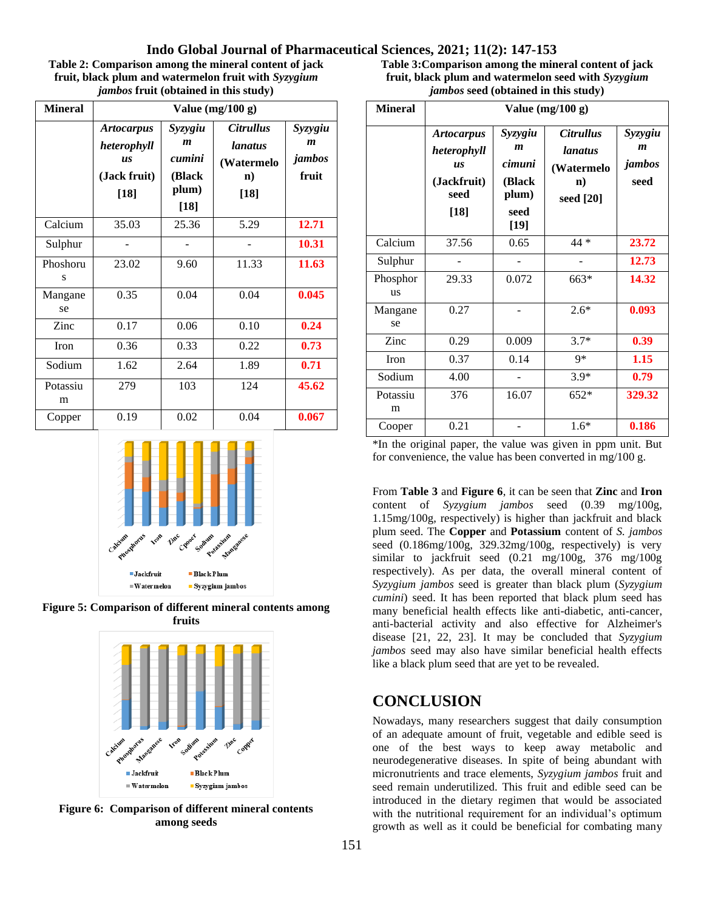| Table 2: Comparison among the mineral content of jack |
|-------------------------------------------------------|
| fruit, black plum and watermelon fruit with Syzygium  |
| <i>jambos</i> fruit (obtained in this study)          |

| <b>Mineral</b> | Value $(mg/100 g)$                                                      |                                                                    |                                                                                   |                                                |
|----------------|-------------------------------------------------------------------------|--------------------------------------------------------------------|-----------------------------------------------------------------------------------|------------------------------------------------|
|                | <b>Artocarpus</b><br>heterophyll<br><b>us</b><br>(Jack fruit)<br>$[18]$ | Syzygiu<br>$\boldsymbol{m}$<br>cumini<br>(Black<br>plum)<br>$[18]$ | <i><b>Citrullus</b></i><br><i>lanatus</i><br>(Watermelo<br>$\mathbf{n}$<br>$[18]$ | Syzygiu<br>$\boldsymbol{m}$<br>jambos<br>fruit |
| Calcium        | 35.03                                                                   | 25.36                                                              | 5.29                                                                              | 12.71                                          |
| Sulphur        |                                                                         |                                                                    |                                                                                   | 10.31                                          |
| Phoshoru<br>S  | 23.02                                                                   | 9.60                                                               | 11.33                                                                             | 11.63                                          |
| Mangane<br>se  | 0.35                                                                    | 0.04                                                               | 0.04                                                                              | 0.045                                          |
| Zinc           | 0.17                                                                    | 0.06                                                               | 0.10                                                                              | 0.24                                           |
| <b>Iron</b>    | 0.36                                                                    | 0.33                                                               | 0.22                                                                              | 0.73                                           |
| Sodium         | 1.62                                                                    | 2.64                                                               | 1.89                                                                              | 0.71                                           |
| Potassiu<br>m  | 279                                                                     | 103                                                                | 124                                                                               | 45.62                                          |
| Copper         | 0.19                                                                    | 0.02                                                               | 0.04                                                                              | 0.067                                          |



**Figure 5: Comparison of different mineral contents among fruits**



**Figure 6: Comparison of different mineral contents among seeds**

**Table 3:Comparison among the mineral content of jack fruit, black plum and watermelon seed with** *Syzygium jambos* **seed (obtained in this study)**

| <b>Mineral</b>        | Value $(mg/100 g)$                                                             |                                                                            |                                                                                      |                                               |
|-----------------------|--------------------------------------------------------------------------------|----------------------------------------------------------------------------|--------------------------------------------------------------------------------------|-----------------------------------------------|
|                       | <b>Artocarpus</b><br>heterophyll<br><b>US</b><br>(Jackfruit)<br>seed<br>$[18]$ | Syzygiu<br>$\boldsymbol{m}$<br>cimuni<br>(Black<br>plum)<br>seed<br>$[19]$ | <i><b>Citrullus</b></i><br><i>lanatus</i><br>(Watermelo<br>$\mathbf{n}$<br>seed [20] | Syzygiu<br>$\boldsymbol{m}$<br>jambos<br>seed |
| Calcium               | 37.56                                                                          | 0.65                                                                       | 44 *                                                                                 | 23.72                                         |
| Sulphur               |                                                                                |                                                                            |                                                                                      | 12.73                                         |
| Phosphor<br><b>us</b> | 29.33                                                                          | 0.072                                                                      | 663*                                                                                 | 14.32                                         |
| Mangane<br>se         | 0.27                                                                           |                                                                            | $2.6*$                                                                               | 0.093                                         |
| Zinc                  | 0.29                                                                           | 0.009                                                                      | $3.7*$                                                                               | 0.39                                          |
| Iron                  | 0.37                                                                           | 0.14                                                                       | 9*                                                                                   | 1.15                                          |
| Sodium                | 4.00                                                                           |                                                                            | $3.9*$                                                                               | 0.79                                          |
| Potassiu<br>m         | 376                                                                            | 16.07                                                                      | $652*$                                                                               | 329.32                                        |
| Cooper                | 0.21                                                                           |                                                                            | $1.6*$                                                                               | 0.186                                         |

\*In the original paper, the value was given in ppm unit. But for convenience, the value has been converted in mg/100 g.

From **Table 3** and **Figure 6**, it can be seen that **Zinc** and **Iron** content of *Syzygium jambos* seed (0.39 mg/100g, 1.15mg/100g, respectively) is higher than jackfruit and black plum seed. The **Copper** and **Potassium** content of *S. jambos* seed (0.186mg/100g, 329.32mg/100g, respectively) is very similar to jackfruit seed (0.21 mg/100g, 376 mg/100g respectively). As per data, the overall mineral content of *Syzygium jambos* seed is greater than black plum (*Syzygium cumini*) seed. It has been reported that black plum seed has many beneficial health effects like anti-diabetic, anti-cancer, anti-bacterial activity and also effective for Alzheimer's disease [21, 22, 23]. It may be concluded that *Syzygium jambos* seed may also have similar beneficial health effects like a black plum seed that are yet to be revealed.

# **CONCLUSION**

Nowadays, many researchers suggest that daily consumption of an adequate amount of fruit, vegetable and edible seed is one of the best ways to keep away metabolic and neurodegenerative diseases. In spite of being abundant with micronutrients and trace elements, *Syzygium jambos* fruit and seed remain underutilized. This fruit and edible seed can be introduced in the dietary regimen that would be associated with the nutritional requirement for an individual's optimum growth as well as it could be beneficial for combating many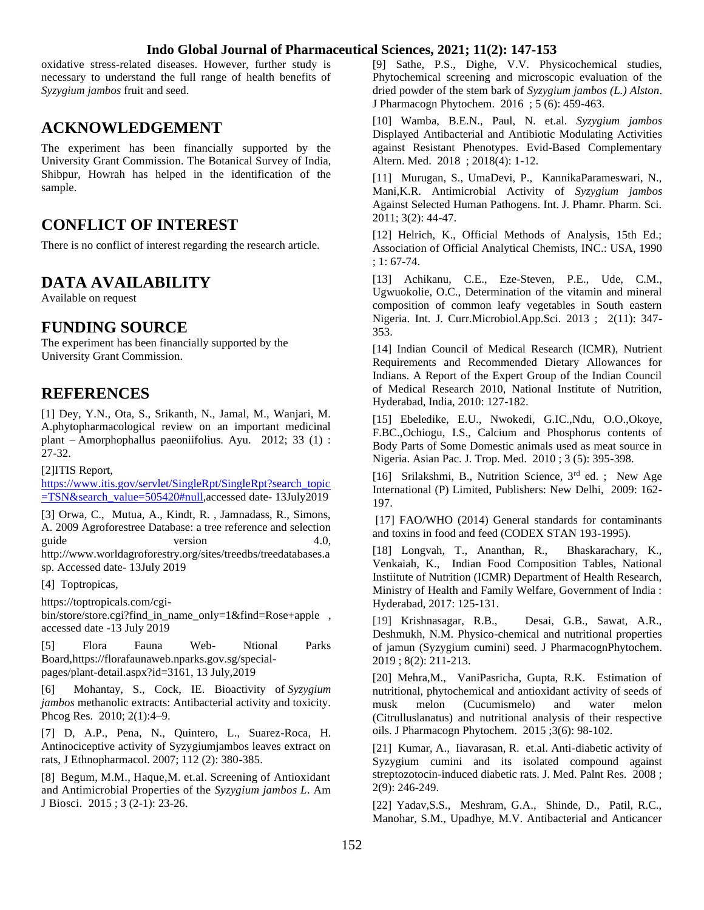oxidative stress-related diseases. However, further study is necessary to understand the full range of health benefits of *Syzygium jambos* fruit and seed.

# **ACKNOWLEDGEMENT**

The experiment has been financially supported by the University Grant Commission. The Botanical Survey of India, Shibpur, Howrah has helped in the identification of the sample.

# **CONFLICT OF INTEREST**

There is no conflict of interest regarding the research article.

# **DATA AVAILABILITY**

Available on request

# **FUNDING SOURCE**

The experiment has been financially supported by the University Grant Commission.

# **REFERENCES**

[1] Dey, Y.N., Ota, S., Srikanth, N., Jamal, M., Wanjari, M. A.phytopharmacological review on an important medicinal plant – Amorphophallus paeoniifolius. Ayu. 2012; 33 (1) : 27-32.

[2]ITIS Report,

[https://www.itis.gov/servlet/SingleRpt/SingleRpt?search\\_topic](https://www.itis.gov/servlet/SingleRpt/SingleRpt?search_topic=TSN&search_value=505420#null) [=TSN&search\\_value=505420#null,](https://www.itis.gov/servlet/SingleRpt/SingleRpt?search_topic=TSN&search_value=505420#null)accessed date- 13July2019

[3] Orwa, C., Mutua, A., Kindt, R. , Jamnadass, R., Simons, A. 2009 Agroforestree Database: a tree reference and selection guide version 4.0, http://www.worldagroforestry.org/sites/treedbs/treedatabases.a sp. Accessed date- 13July 2019

[4] Toptropicas,

[https://toptropicals.com/cgi-](https://toptropicals.com/cgi-bin/store/store.cgi?find_in_name_only=1&find=Rose+apple)

bin/store/store.cgi?find in name\_only=1&find=Rose+apple , accessed date -13 July 2019

[5] Flora Fauna Web- Ntional Parks Board[,https://florafaunaweb.nparks.gov.sg/special](https://florafaunaweb.nparks.gov.sg/special-pages/plant-detail.aspx?id=3161)[pages/plant-detail.aspx?id=3161,](https://florafaunaweb.nparks.gov.sg/special-pages/plant-detail.aspx?id=3161) 13 July,2019

[6] Mohantay, S., Cock, IE. Bioactivity of *Syzygium jambos* methanolic extracts: Antibacterial activity and toxicity. Phcog Res. 2010; 2(1):4–9.

[7] D, A.P., Pena, N., Quintero, L., Suarez-Roca, H. Antinociceptive activity of Syzygiumjambos leaves extract on rats, J Ethnopharmacol. 2007; 112 (2): 380-385.

[8] Begum, M.M., Haque,M. et.al. Screening of Antioxidant and Antimicrobial Properties of the *Syzygium jambos L*. Am J Biosci. 2015 ; 3 (2-1): 23-26.

[9] Sathe, P.S., Dighe, V.V. Physicochemical studies, Phytochemical screening and microscopic evaluation of the dried powder of the stem bark of *Syzygium jambos (L.) Alston*. J Pharmacogn Phytochem. 2016 ; 5 (6): 459-463.

[10] Wamba, B.E.N., Paul, N. et.al. *Syzygium jambos* Displayed Antibacterial and Antibiotic Modulating Activities against Resistant Phenotypes. Evid-Based Complementary Altern. Med. 2018 ; 2018(4): 1-12.

[11] Murugan, S., UmaDevi, P., KannikaParameswari, N., Mani,K.R. Antimicrobial Activity of *Syzygium jambos* Against Selected Human Pathogens. Int. J. Phamr. Pharm. Sci. 2011; 3(2): 44-47.

[12] Helrich, K., Official Methods of Analysis, 15th Ed.; Association of Official Analytical Chemists, INC.: USA, 1990 ; 1: 67-74.

[13] Achikanu, C.E., Eze-Steven, P.E., Ude, C.M., Ugwuokolie, O.C., Determination of the vitamin and mineral composition of common leafy vegetables in South eastern Nigeria. Int. J. Curr.Microbiol.App.Sci*.* 2013 ; 2(11): 347- 353.

[14] Indian Council of Medical Research (ICMR), Nutrient Requirements and Recommended Dietary Allowances for Indians. A Report of the Expert Group of the Indian Council of Medical Research 2010, National Institute of Nutrition, Hyderabad, India, 2010: 127-182.

[15] Ebeledike, E.U., Nwokedi, G.IC.,Ndu, O.O.,Okoye, F.BC.,Ochiogu, I.S., Calcium and Phosphorus contents of Body Parts of Some Domestic animals used as meat source in Nigeria. Asian Pac. J. Trop. Med. 2010 ; 3 (5): 395-398.

[16] Srilakshmi, B., Nutrition Science, 3<sup>rd</sup> ed. ; New Age International (P) Limited, Publishers: New Delhi, 2009: 162- 197.

[17] FAO/WHO (2014) General standards for contaminants and toxins in food and feed (CODEX STAN 193-1995).

[18] Longvah, T., Ananthan, R., Bhaskarachary, K., Venkaiah, K., Indian Food Composition Tables, National Instiitute of Nutrition (ICMR) Department of Health Research, Ministry of Health and Family Welfare, Government of India : Hyderabad, 2017: 125-131.

[19] Krishnasagar, R.B., Desai, G.B., Sawat, A.R., Deshmukh, N.M. Physico-chemical and nutritional properties of jamun (Syzygium cumini) seed. J PharmacognPhytochem. 2019 ; 8(2): 211-213.

[20] Mehra,M., VaniPasricha, Gupta, R.K. Estimation of nutritional, phytochemical and antioxidant activity of seeds of musk melon (Cucumismelo) and water melon (Citrulluslanatus) and nutritional analysis of their respective oils. J Pharmacogn Phytochem. 2015 ;3(6): 98-102.

[21] Kumar, A., Iiavarasan, R. et.al. Anti-diabetic activity of Syzygium cumini and its isolated compound against streptozotocin-induced diabetic rats. J. Med. Palnt Res. 2008 ; 2(9): 246-249.

[22] Yadav,S.S., Meshram, G.A., Shinde, D., Patil, R.C., Manohar, S.M., Upadhye, M.V. Antibacterial and Anticancer